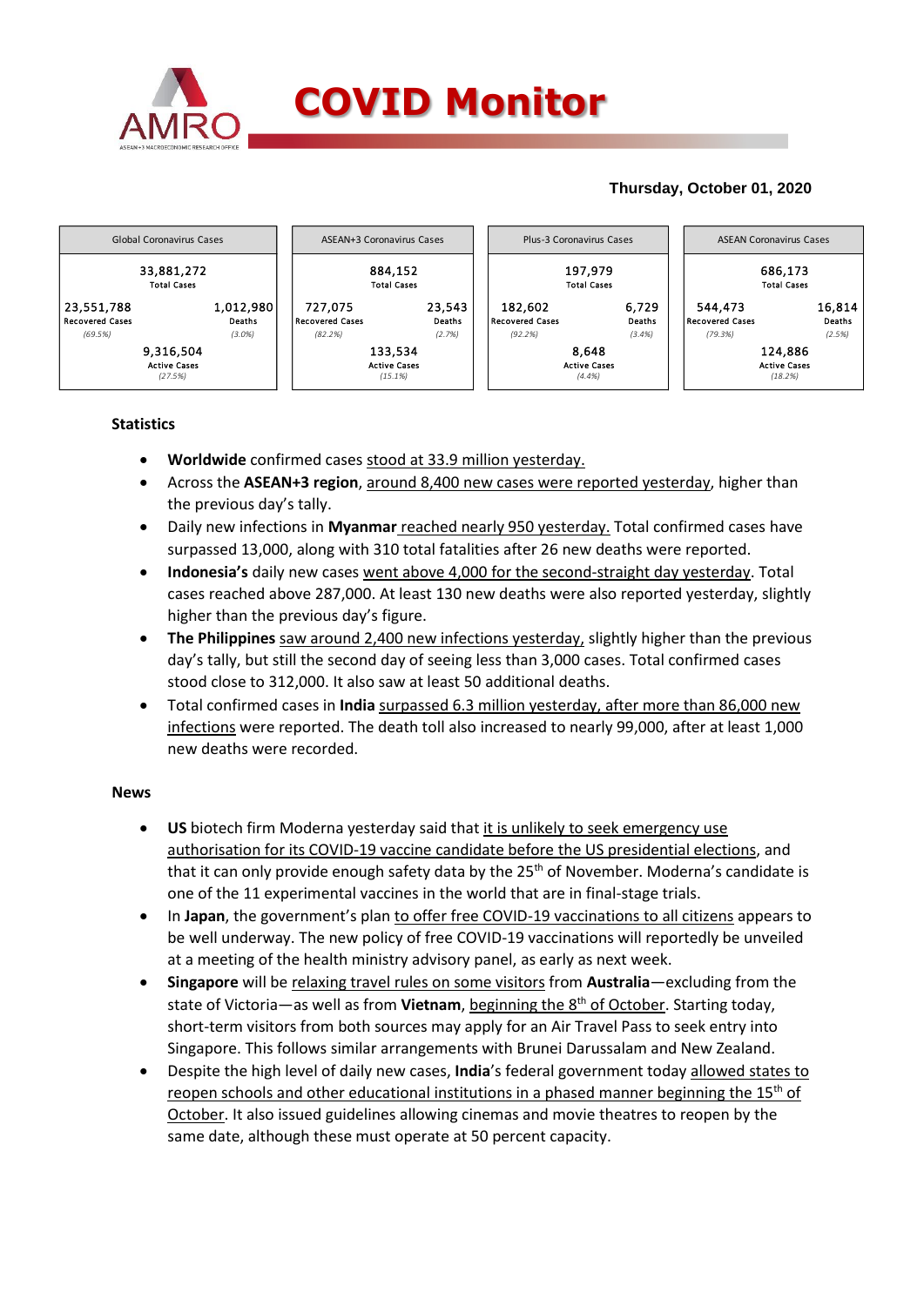

# **Thursday, October 01, 2020**



## **Statistics**

- **Worldwide** confirmed cases stood at 33.9 million yesterday.
- Across the **ASEAN+3 region**, around 8,400 new cases were reported yesterday, higher than the previous day's tally.
- Daily new infections in **Myanmar** reached nearly 950 yesterday. Total confirmed cases have surpassed 13,000, along with 310 total fatalities after 26 new deaths were reported.
- **Indonesia's** daily new cases went above 4,000 for the second-straight day yesterday. Total cases reached above 287,000. At least 130 new deaths were also reported yesterday, slightly higher than the previous day's figure.
- **The Philippines** saw around 2,400 new infections yesterday, slightly higher than the previous day's tally, but still the second day of seeing less than 3,000 cases. Total confirmed cases stood close to 312,000. It also saw at least 50 additional deaths.
- Total confirmed cases in **India** surpassed 6.3 million yesterday, after more than 86,000 new infections were reported. The death toll also increased to nearly 99,000, after at least 1,000 new deaths were recorded.

### **News**

- **US** biotech firm Moderna yesterday said that it is unlikely to seek emergency use authorisation for its COVID-19 vaccine candidate before the US presidential elections, and that it can only provide enough safety data by the  $25<sup>th</sup>$  of November. Moderna's candidate is one of the 11 experimental vaccines in the world that are in final-stage trials.
- In **Japan**, the government's plan to offer free COVID-19 vaccinations to all citizens appears to be well underway. The new policy of free COVID-19 vaccinations will reportedly be unveiled at a meeting of the health ministry advisory panel, as early as next week.
- **Singapore** will be relaxing travel rules on some visitors from **Australia**—excluding from the state of Victoria—as well as from **Vietnam**, beginning the 8th of October. Starting today, short-term visitors from both sources may apply for an Air Travel Pass to seek entry into Singapore. This follows similar arrangements with Brunei Darussalam and New Zealand.
- Despite the high level of daily new cases, **India**'s federal government today allowed states to reopen schools and other educational institutions in a phased manner beginning the  $15<sup>th</sup>$  of October. It also issued guidelines allowing cinemas and movie theatres to reopen by the same date, although these must operate at 50 percent capacity.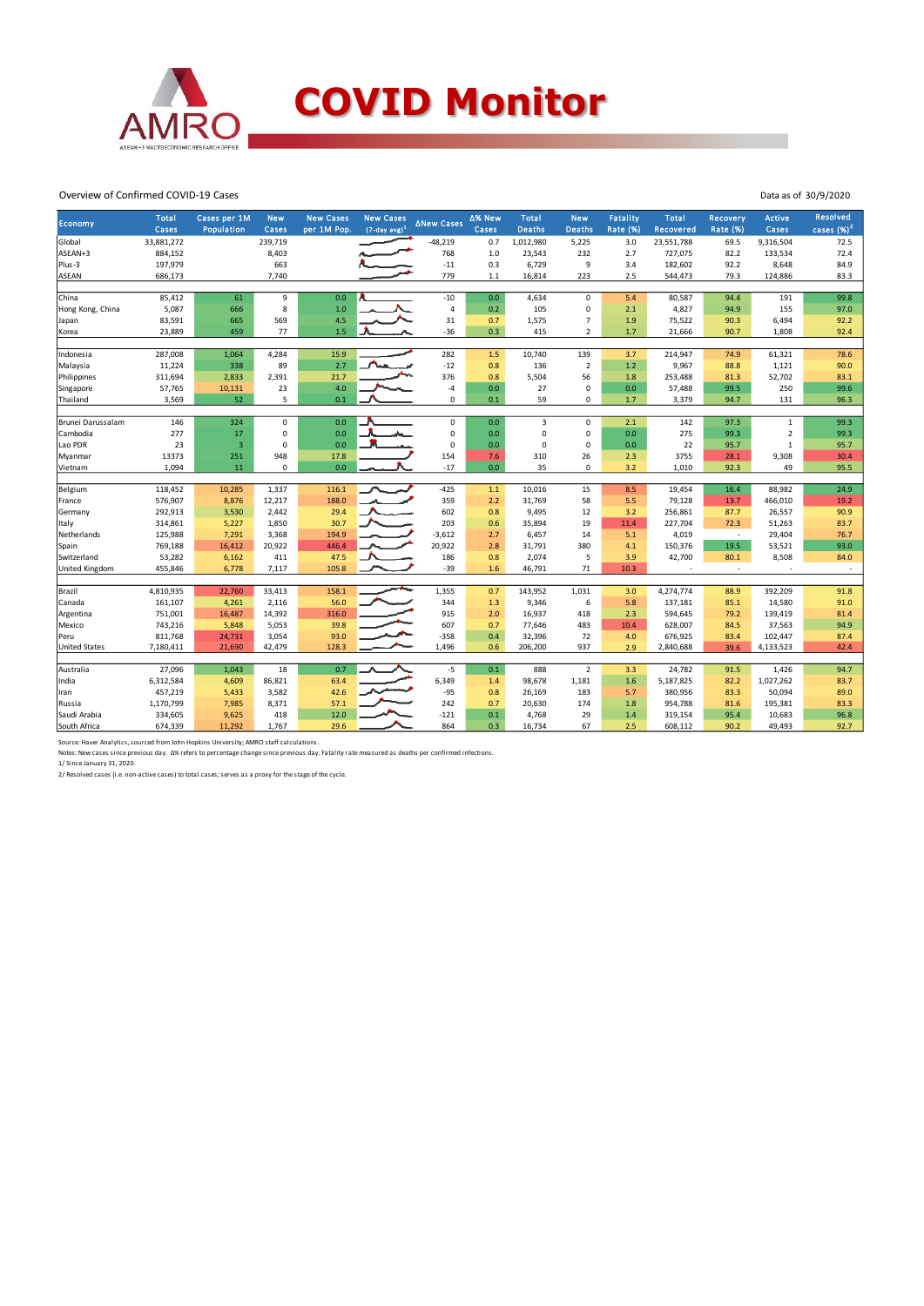

#### Overview of Confirmed COVID-19 Cases

|                      | <b>Total</b> | Cases per 1M            | <b>New</b>  | <b>New Cases</b> | <b>New Cases</b>            |                   | ∆% New | <b>Total</b>   | <b>New</b>     | Fatality        | Total            | Recovery                 | Active         | <b>Resolved</b> |
|----------------------|--------------|-------------------------|-------------|------------------|-----------------------------|-------------------|--------|----------------|----------------|-----------------|------------------|--------------------------|----------------|-----------------|
| Economy              | Cases        | Population              | Cases       | per 1M Pop.      | $(7$ -day avg) <sup>1</sup> | <b>ANew Cases</b> | Cases  | <b>Deaths</b>  | <b>Deaths</b>  | <b>Rate (%)</b> | <b>Recovered</b> | <b>Rate (%)</b>          | Cases          | cases $(%)2$    |
| Global               | 33,881,272   |                         | 239,719     |                  |                             | $-48,219$         | 0.7    | 1,012,980      | 5,225          | 3.0             | 23,551,788       | 69.5                     | 9,316,504      | 72.5            |
| ASEAN+3              | 884,152      |                         | 8,403       |                  |                             | 768               | $1.0$  | 23,543         | 232            | 2.7             | 727,075          | 82.2                     | 133,534        | 72.4            |
| Plus-3               | 197,979      |                         | 663         |                  |                             | $-11$             | 0.3    | 6,729          | 9              | 3.4             | 182,602          | 92.2                     | 8,648          | 84.9            |
| <b>ASEAN</b>         | 686,173      |                         | 7,740       |                  |                             | 779               | $1.1$  | 16,814         | 223            | 2.5             | 544,473          | 79.3                     | 124,886        | 83.3            |
|                      |              |                         |             |                  |                             |                   |        |                |                |                 |                  |                          |                |                 |
| China                | 85,412       | 61                      | 9           | 0.0              |                             | $-10$             | 0.0    | 4,634          | $\mathbf 0$    | 5.4             | 80,587           | 94.4                     | 191            | 99.8            |
| Hong Kong, China     | 5,087        | 666                     | 8           | 1.0              |                             | $\overline{4}$    | 0.2    | 105            | 0              | 2.1             | 4,827            | 94.9                     | 155            | 97.0            |
| Japan                | 83,591       | 665                     | 569         | 4.5              |                             | 31                | 0.7    | 1,575          | $\overline{7}$ | 1.9             | 75,522           | 90.3                     | 6,494          | 92.2            |
| Korea                | 23,889       | 459                     | 77          | 1.5              |                             | $-36$             | 0.3    | 415            | $\overline{2}$ | 1.7             | 21,666           | 90.7                     | 1,808          | 92.4            |
|                      |              |                         |             |                  |                             |                   |        |                |                |                 |                  |                          |                |                 |
| Indonesia            | 287,008      | 1,064                   | 4,284       | 15.9             |                             | 282               | 1.5    | 10,740         | 139            | 3.7             | 214,947          | 74.9                     | 61,321         | 78.6            |
| Malaysia             | 11,224       | 338                     | 89          | 2.7              |                             | $-12$             | 0.8    | 136            | $\overline{2}$ | 1.2             | 9,967            | 88.8                     | 1,121          | 90.0            |
| Philippines          | 311,694      | 2,833                   | 2,391       | 21.7             |                             | 376               | 0.8    | 5,504          | 56             | 1.8             | 253,488          | 81.3                     | 52,702         | 83.1            |
| Singapore            | 57,765       | 10,131                  | 23          | 4.0              |                             | $-4$              | 0.0    | 27             | 0              | 0.0             | 57,488           | 99.5                     | 250            | 99.6            |
| Thailand             | 3,569        | 52                      | 5           | 0.1              |                             | 0                 | 0.1    | 59             | 0              | 1.7             | 3,379            | 94.7                     | 131            | 96.3            |
| Brunei Darussalam    | 146          | 324                     | $\mathbf 0$ | 0.0              |                             | $\mathbf 0$       | 0.0    | $\overline{3}$ | $\mathbf 0$    | 2.1             | 142              | 97.3                     | $\mathbf{1}$   | 99.3            |
| Cambodia             | 277          | 17                      | $\mathbf 0$ | 0.0              |                             | $\mathsf 0$       | 0.0    | $\mathbf 0$    | 0              | 0.0             | 275              | 99.3                     | $\overline{2}$ | 99.3            |
| Lao PDR              | 23           | $\overline{\mathbf{3}}$ | $\mathbf 0$ | 0.0              |                             | $\mathbf 0$       | 0.0    | $\mathbf 0$    | 0              | 0.0             | 22               | 95.7                     | $\mathbf 1$    | 95.7            |
| Myanmar              | 13373        | 251                     | 948         | 17.8             |                             | 154               | 7.6    | 310            | 26             | 2.3             | 3755             | 28.1                     | 9,308          | 30.4            |
| Vietnam              | 1,094        | 11                      | $\mathbf 0$ | 0.0              |                             | $-17$             | 0.0    | 35             | 0              | 3.2             | 1,010            | 92.3                     | 49             | 95.5            |
|                      |              |                         |             |                  |                             |                   |        |                |                |                 |                  |                          |                |                 |
| Belgium              | 118,452      | 10,285                  | 1,337       | 116.1            |                             | $-425$            | 1.1    | 10,016         | 15             | 8.5             | 19,454           | 16.4                     | 88,982         | 24.9            |
| France               | 576,907      | 8,876                   | 12,217      | 188.0            |                             | 359               | 2.2    | 31,769         | 58             | 5.5             | 79,128           | 13.7                     | 466,010        | 19.2            |
| Germany              | 292,913      | 3,530                   | 2,442       | 29.4             |                             | 602               | 0.8    | 9,495          | 12             | 3.2             | 256,861          | 87.7                     | 26,557         | 90.9            |
| Italy                | 314,861      | 5,227                   | 1,850       | 30.7             |                             | 203               | 0.6    | 35,894         | 19             | 11.4            | 227,704          | 72.3                     | 51,263         | 83.7            |
| Netherlands          | 125,988      | 7,291                   | 3,368       | 194.9            |                             | $-3,612$          | 2.7    | 6,457          | 14             | 5.1             | 4,019            | $\sim$                   | 29,404         | 76.7            |
| Spain                | 769,188      | 16,412                  | 20,922      | 446.4            |                             | 20,922            | 2.8    | 31,791         | 380            | 4.1             | 150,376          | 19.5                     | 53,521         | 93.0            |
| Switzerland          | 53,282       | 6,162                   | 411         | 47.5             |                             | 186               | 0.8    | 2,074          | 5              | 3.9             | 42,700           | 80.1                     | 8,508          | 84.0            |
| United Kingdom       | 455,846      | 6,778                   | 7,117       | 105.8            |                             | $-39$             | 1.6    | 46,791         | 71             | 10.3            |                  | $\overline{\phantom{a}}$ |                | $\sim$          |
|                      |              |                         |             |                  |                             |                   |        |                |                |                 |                  |                          |                |                 |
| Brazil               | 4,810,935    | 22,760                  | 33,413      | 158.1            |                             | 1,355             | 0.7    | 143,952        | 1,031          | 3.0             | 4,274,774        | 88.9                     | 392,209        | 91.8            |
| Canada               | 161,107      | 4,261                   | 2,116       | 56.0             |                             | 344               | 1.3    | 9,346          | 6              | 5.8             | 137,181          | 85.1                     | 14,580         | 91.0            |
| Argentina            | 751,001      | 16,487                  | 14,392      | 316.0            |                             | 915               | 2.0    | 16,937         | 418            | 2.3             | 594,645          | 79.2                     | 139,419        | 81.4            |
| Mexico               | 743,216      | 5,848                   | 5,053       | 39.8             |                             | 607               | 0.7    | 77,646         | 483            | 10.4            | 628,007          | 84.5                     | 37,563         | 94.9            |
| Peru                 | 811,768      | 24,731                  | 3,054       | 93.0             |                             | $-358$            | 0.4    | 32,396         | 72             | 4.0             | 676,925          | 83.4                     | 102,447        | 87.4            |
| <b>United States</b> | 7,180,411    | 21,690                  | 42,479      | 128.3            |                             | 1,496             | 0.6    | 206,200        | 937            | 2.9             | 2,840,688        | 39.6                     | 4,133,523      | 42.4            |
|                      |              |                         |             |                  |                             |                   |        |                |                |                 |                  |                          |                |                 |
| Australia            | 27,096       | 1,043                   | 18          | 0.7              |                             | $-5$              | 0.1    | 888            | $\overline{2}$ | 3.3             | 24,782           | 91.5                     | 1,426          | 94.7            |
| India                | 6,312,584    | 4,609                   | 86,821      | 63.4             |                             | 6,349             | 1.4    | 98,678         | 1,181          | 1.6             | 5,187,825        | 82.2                     | 1,027,262      | 83.7            |
| Iran                 | 457,219      | 5,433                   | 3,582       | 42.6             |                             | $-95$             | 0.8    | 26,169         | 183            | 5.7             | 380,956          | 83.3                     | 50,094         | 89.0            |
| Russia               | 1,170,799    | 7,985                   | 8,371       | 57.1             |                             | 242               | 0.7    | 20,630         | 174            | 1.8             | 954,788          | 81.6                     | 195,381        | 83.3            |
| Saudi Arabia         | 334,605      | 9,625                   | 418         | 12.0             |                             | $-121$            | 0.1    | 4,768          | 29             | 1.4             | 319,154          | 95.4                     | 10,683         | 96.8            |
| South Africa         | 674,339      | 11,292                  | 1,767       | 29.6             |                             | 864               | 0.3    | 16,734         | 67             | 2.5             | 608,112          | 90.2                     | 49,493         | 92.7            |

Data as of 30/9/2020

Source: Haver Analytics, sourced from John Hopkins University; AMRO staff calculations.<br>Notes: New cases since previous day. Δ% refers to percentage change since previous day. Fatality rate measured as deaths per confirmed